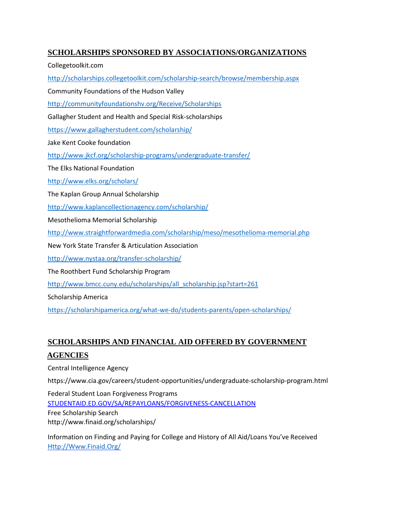## **SCHOLARSHIPS SPONSORED BY ASSOCIATIONS/ORGANIZATIONS**

Collegetoolkit.com <http://scholarships.collegetoolkit.com/scholarship-search/browse/membership.aspx> Community Foundations of the Hudson Valley <http://communityfoundationshv.org/Receive/Scholarships> Gallagher Student and Health and Special Risk-scholarships <https://www.gallagherstudent.com/scholarship/> Jake Kent Cooke foundation <http://www.jkcf.org/scholarship-programs/undergraduate-transfer/> The Elks National Foundation <http://www.elks.org/scholars/> The Kaplan Group Annual Scholarship <http://www.kaplancollectionagency.com/scholarship/> Mesothelioma Memorial Scholarship <http://www.straightforwardmedia.com/scholarship/meso/mesothelioma-memorial.php> New York State Transfer & Articulation Association <http://www.nystaa.org/transfer-scholarship/> The Roothbert Fund Scholarship Program [http://www.bmcc.cuny.edu/scholarships/all\\_scholarship.jsp?start=261](http://www.bmcc.cuny.edu/scholarships/all_scholarship.jsp?start=261) Scholarship America <https://scholarshipamerica.org/what-we-do/students-parents/open-scholarships/>

# **SCHOLARSHIPS AND FINANCIAL AID OFFERED BY GOVERNMENT**

# **AGENCIES**

Central Intelligence Agency

https://www.cia.gov/careers/student-opportunities/undergraduate-scholarship-program.html

Federal Student Loan Forgiveness Programs STUDENTAID.ED.GOV/SA/REPAYLOANS/FORGIVENESS-CANCELLATION Free Scholarship Search http://www.finaid.org/scholarships/

Information on Finding and Paying for College and History of All Aid/Loans You've Received [Http://Www.Finaid.Org/](http://www.finaid.org/)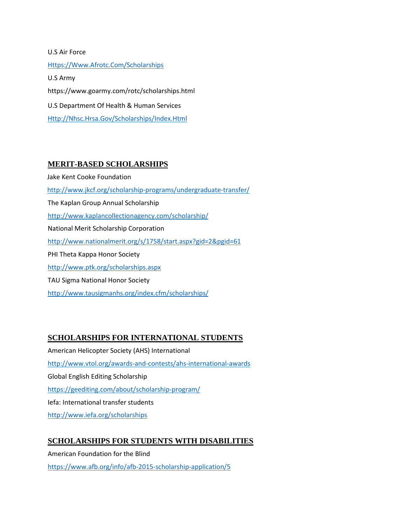U.S Air Force [Https://Www.Afrotc.Com/Scholarships](https://www.afrotc.com/scholarships)  U.S Army https://www.goarmy.com/rotc/scholarships.html U.S Department Of Health & Human Services [Http://Nhsc.Hrsa.Gov/Scholarships/Index.Html](http://nhsc.hrsa.gov/scholarships/index.html) 

#### **MERIT-BASED SCHOLARSHIPS**

Jake Kent Cooke Foundation <http://www.jkcf.org/scholarship-programs/undergraduate-transfer/> The Kaplan Group Annual Scholarship <http://www.kaplancollectionagency.com/scholarship/> National Merit Scholarship Corporation <http://www.nationalmerit.org/s/1758/start.aspx?gid=2&pgid=61> PHI Theta Kappa Honor Society <http://www.ptk.org/scholarships.aspx> TAU Sigma National Honor Society <http://www.tausigmanhs.org/index.cfm/scholarships/>

#### **SCHOLARSHIPS FOR INTERNATIONAL STUDENTS**

American Helicopter Society (AHS) International <http://www.vtol.org/awards-and-contests/ahs-international-awards> Global English Editing Scholarship <https://geediting.com/about/scholarship-program/> Iefa: International transfer students <http://www.iefa.org/scholarships>

#### **SCHOLARSHIPS FOR STUDENTS WITH DISABILITIES**

American Foundation for the Blind

<https://www.afb.org/info/afb-2015-scholarship-application/5>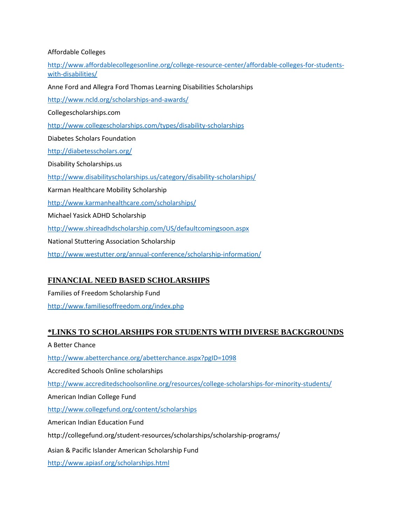#### Affordable Colleges

[http://www.affordablecollegesonline.org/college-resource-center/affordable-colleges-for-students](http://www.affordablecollegesonline.org/college-resource-center/affordable-colleges-for-students-with-disabilities/)[with-disabilities/](http://www.affordablecollegesonline.org/college-resource-center/affordable-colleges-for-students-with-disabilities/) Anne Ford and Allegra Ford Thomas Learning Disabilities Scholarships <http://www.ncld.org/scholarships-and-awards/> Collegescholarships.com <http://www.collegescholarships.com/types/disability-scholarships> Diabetes Scholars Foundation <http://diabetesscholars.org/> Disability Scholarships.us <http://www.disabilityscholarships.us/category/disability-scholarships/> Karman Healthcare Mobility Scholarship <http://www.karmanhealthcare.com/scholarships/> Michael Yasick ADHD Scholarship <http://www.shireadhdscholarship.com/US/defaultcomingsoon.aspx> National Stuttering Association Scholarship <http://www.westutter.org/annual-conference/scholarship-information/>

# **FINANCIAL NEED BASED SCHOLARSHIPS**

Families of Freedom Scholarship Fund <http://www.familiesoffreedom.org/index.php>

#### **\*LINKS TO SCHOLARSHIPS FOR STUDENTS WITH DIVERSE BACKGROUNDS**

A Better Chance <http://www.abetterchance.org/abetterchance.aspx?pgID=1098> Accredited Schools Online scholarships <http://www.accreditedschoolsonline.org/resources/college-scholarships-for-minority-students/> American Indian College Fund <http://www.collegefund.org/content/scholarships> American Indian Education Fund http://collegefund.org/student-resources/scholarships/scholarship-programs/ Asian & Pacific Islander American Scholarship Fund

<http://www.apiasf.org/scholarships.html>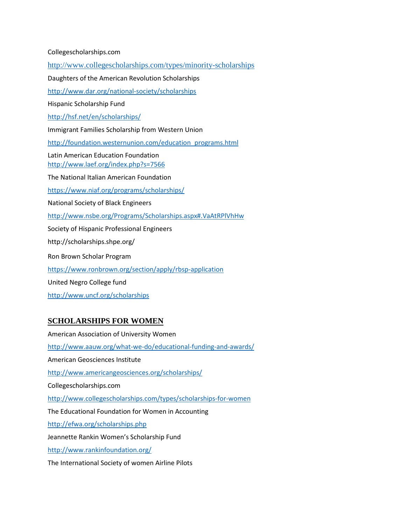Collegescholarships.com <http://www.collegescholarships.com/types/minority-scholarships> Daughters of the American Revolution Scholarships <http://www.dar.org/national-society/scholarships> Hispanic Scholarship Fund <http://hsf.net/en/scholarships/> Immigrant Families Scholarship from Western Union [http://foundation.westernunion.com/education\\_programs.html](http://foundation.westernunion.com/education_programs.html) Latin American Education Foundation <http://www.laef.org/index.php?s=7566> The National Italian American Foundation <https://www.niaf.org/programs/scholarships/> National Society of Black Engineers <http://www.nsbe.org/Programs/Scholarships.aspx#.VaAtRPlVhHw> Society of Hispanic Professional Engineers http://scholarships.shpe.org/ Ron Brown Scholar Program <https://www.ronbrown.org/section/apply/rbsp-application> United Negro College fund <http://www.uncf.org/scholarships>

#### **SCHOLARSHIPS FOR WOMEN**

American Association of University Women <http://www.aauw.org/what-we-do/educational-funding-and-awards/> American Geosciences Institute <http://www.americangeosciences.org/scholarships/> Collegescholarships.com <http://www.collegescholarships.com/types/scholarships-for-women> The Educational Foundation for Women in Accounting <http://efwa.org/scholarships.php> Jeannette Rankin Women's Scholarship Fund <http://www.rankinfoundation.org/> The International Society of women Airline Pilots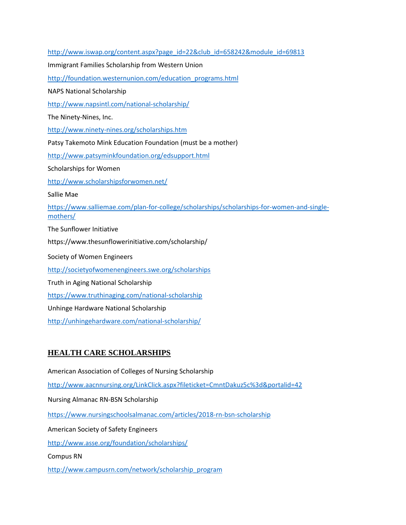[http://www.iswap.org/content.aspx?page\\_id=22&club\\_id=658242&module\\_id=69813](http://www.iswap.org/content.aspx?page_id=22&club_id=658242&module_id=69813) Immigrant Families Scholarship from Western Union [http://foundation.westernunion.com/education\\_programs.html](http://foundation.westernunion.com/education_programs.html) NAPS National Scholarship <http://www.napsintl.com/national-scholarship/> The Ninety-Nines, Inc. <http://www.ninety-nines.org/scholarships.htm> Patsy Takemoto Mink Education Foundation (must be a mother) <http://www.patsyminkfoundation.org/edsupport.html> Scholarships for Women <http://www.scholarshipsforwomen.net/> Sallie Mae [https://www.salliemae.com/plan-for-college/scholarships/scholarships-for-women-and-single](https://www.salliemae.com/plan-for-college/scholarships/scholarships-for-women-and-single-mothers/)[mothers/](https://www.salliemae.com/plan-for-college/scholarships/scholarships-for-women-and-single-mothers/) The Sunflower Initiative https://www.thesunflowerinitiative.com/scholarship/ Society of Women Engineers <http://societyofwomenengineers.swe.org/scholarships> Truth in Aging National Scholarship <https://www.truthinaging.com/national-scholarship> Unhinge Hardware National Scholarship <http://unhingehardware.com/national-scholarship/>

# **HEALTH CARE SCHOLARSHIPS**

American Association of Colleges of Nursing Scholarship <http://www.aacnnursing.org/LinkClick.aspx?fileticket=CmntDakuz5c%3d&portalid=42> Nursing Almanac RN-BSN Scholarship <https://www.nursingschoolsalmanac.com/articles/2018-rn-bsn-scholarship> American Society of Safety Engineers <http://www.asse.org/foundation/scholarships/> Compus RN

[http://www.campusrn.com/network/scholarship\\_program](http://www.campusrn.com/network/scholarship_program)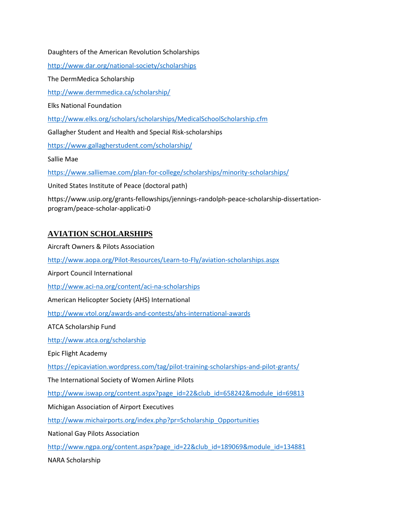Daughters of the American Revolution Scholarships

<http://www.dar.org/national-society/scholarships>

The DermMedica Scholarship

<http://www.dermmedica.ca/scholarship/>

Elks National Foundation

<http://www.elks.org/scholars/scholarships/MedicalSchoolScholarship.cfm>

Gallagher Student and Health and Special Risk-scholarships

<https://www.gallagherstudent.com/scholarship/>

Sallie Mae

<https://www.salliemae.com/plan-for-college/scholarships/minority-scholarships/>

United States Institute of Peace (doctoral path)

https://www.usip.org/grants-fellowships/jennings-randolph-peace-scholarship-dissertationprogram/peace-scholar-applicati-0

#### **AVIATION SCHOLARSHIPS**

Aircraft Owners & Pilots Association <http://www.aopa.org/Pilot-Resources/Learn-to-Fly/aviation-scholarships.aspx> Airport Council International <http://www.aci-na.org/content/aci-na-scholarships> American Helicopter Society (AHS) International <http://www.vtol.org/awards-and-contests/ahs-international-awards> ATCA Scholarship Fund <http://www.atca.org/scholarship> Epic Flight Academy <https://epicaviation.wordpress.com/tag/pilot-training-scholarships-and-pilot-grants/> The International Society of Women Airline Pilots [http://www.iswap.org/content.aspx?page\\_id=22&club\\_id=658242&module\\_id=69813](http://www.iswap.org/content.aspx?page_id=22&club_id=658242&module_id=69813) Michigan Association of Airport Executives [http://www.michairports.org/index.php?pr=Scholarship\\_Opportunities](http://www.michairports.org/index.php?pr=Scholarship_Opportunities) National Gay Pilots Association [http://www.ngpa.org/content.aspx?page\\_id=22&club\\_id=189069&module\\_id=134881](http://www.ngpa.org/content.aspx?page_id=22&club_id=189069&module_id=134881) NARA Scholarship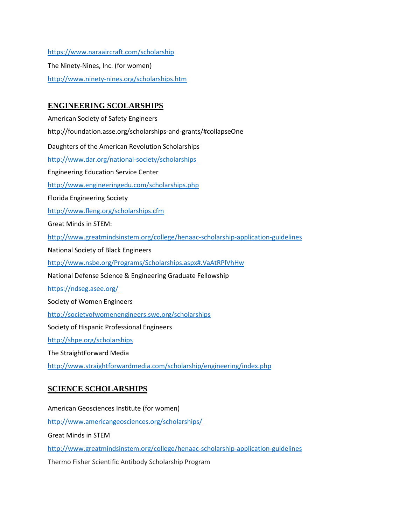<https://www.naraaircraft.com/scholarship> The Ninety-Nines, Inc. (for women) <http://www.ninety-nines.org/scholarships.htm>

### **ENGINEERING SCOLARSHIPS**

American Society of Safety Engineers http://foundation.asse.org/scholarships-and-grants/#collapseOne Daughters of the American Revolution Scholarships <http://www.dar.org/national-society/scholarships> Engineering Education Service Center <http://www.engineeringedu.com/scholarships.php> Florida Engineering Society <http://www.fleng.org/scholarships.cfm> Great Minds in STEM: <http://www.greatmindsinstem.org/college/henaac-scholarship-application-guidelines> National Society of Black Engineers <http://www.nsbe.org/Programs/Scholarships.aspx#.VaAtRPlVhHw> National Defense Science & Engineering Graduate Fellowship <https://ndseg.asee.org/> Society of Women Engineers <http://societyofwomenengineers.swe.org/scholarships> Society of Hispanic Professional Engineers <http://shpe.org/scholarships> The StraightForward Media <http://www.straightforwardmedia.com/scholarship/engineering/index.php>

# **SCIENCE SCHOLARSHIPS**

American Geosciences Institute (for women)

<http://www.americangeosciences.org/scholarships/>

Great Minds in STEM

<http://www.greatmindsinstem.org/college/henaac-scholarship-application-guidelines>

Thermo Fisher Scientific Antibody Scholarship Program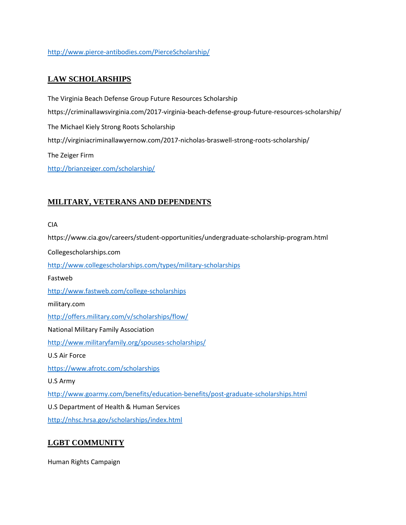#### <http://www.pierce-antibodies.com/PierceScholarship/>

## **LAW SCHOLARSHIPS**

The Virginia Beach Defense Group Future Resources Scholarship https://criminallawsvirginia.com/2017-virginia-beach-defense-group-future-resources-scholarship/ The Michael Kiely Strong Roots Scholarship http://virginiacriminallawyernow.com/2017-nicholas-braswell-strong-roots-scholarship/ The Zeiger Firm <http://brianzeiger.com/scholarship/>

### **MILITARY, VETERANS AND DEPENDENTS**

CIA

https://www.cia.gov/careers/student-opportunities/undergraduate-scholarship-program.html Collegescholarships.com <http://www.collegescholarships.com/types/military-scholarships> Fastweb <http://www.fastweb.com/college-scholarships> military.com <http://offers.military.com/v/scholarships/flow/> National Military Family Association <http://www.militaryfamily.org/spouses-scholarships/> U.S Air Force <https://www.afrotc.com/scholarships> U.S Army <http://www.goarmy.com/benefits/education-benefits/post-graduate-scholarships.html> U.S Department of Health & Human Services <http://nhsc.hrsa.gov/scholarships/index.html>

# **LGBT COMMUNITY**

Human Rights Campaign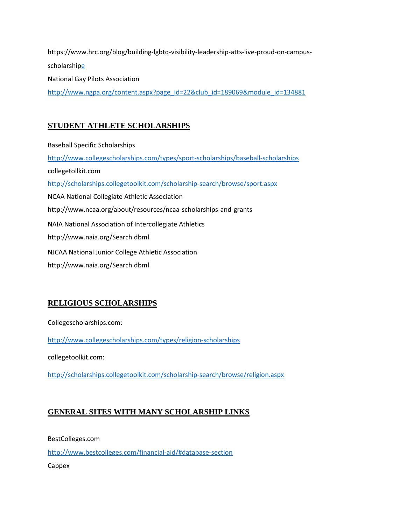https://www.hrc.org/blog/building-lgbtq-visibility-leadership-atts-live-proud-on-campusscholarshi[pe](http://www.hrc.org/resources/scholarship-database) National Gay Pilots Association [http://www.ngpa.org/content.aspx?page\\_id=22&club\\_id=189069&module\\_id=134881](http://www.ngpa.org/content.aspx?page_id=22&club_id=189069&module_id=134881)

# **STUDENT ATHLETE SCHOLARSHIPS**

Baseball Specific Scholarships <http://www.collegescholarships.com/types/sport-scholarships/baseball-scholarships> collegetollkit.com <http://scholarships.collegetoolkit.com/scholarship-search/browse/sport.aspx> NCAA National Collegiate Athletic Association http://www.ncaa.org/about/resources/ncaa-scholarships-and-grants NAIA National Association of Intercollegiate Athletics http://www.naia.org/Search.dbml NJCAA National Junior College Athletic Association http://www.naia.org/Search.dbml

# **RELIGIOUS SCHOLARSHIPS**

Collegescholarships.com:

<http://www.collegescholarships.com/types/religion-scholarships>

collegetoolkit.com:

<http://scholarships.collegetoolkit.com/scholarship-search/browse/religion.aspx>

# **GENERAL SITES WITH MANY SCHOLARSHIP LINKS**

BestColleges.com

<http://www.bestcolleges.com/financial-aid/#database-section>

Cappex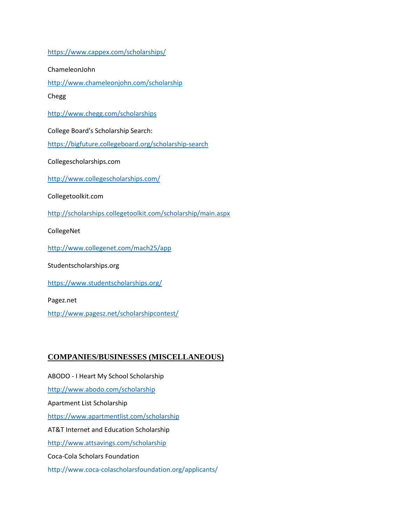<https://www.cappex.com/scholarships/>

ChameleonJohn

<http://www.chameleonjohn.com/scholarship>

Chegg

<http://www.chegg.com/scholarships>

College Board's Scholarship Search:

<https://bigfuture.collegeboard.org/scholarship-search>

Collegescholarships.com

<http://www.collegescholarships.com/>

Collegetoolkit.com

<http://scholarships.collegetoolkit.com/scholarship/main.aspx>

CollegeNet

<http://www.collegenet.com/mach25/app>

Studentscholarships.org

<https://www.studentscholarships.org/>

Pagez.net

<http://www.pagesz.net/scholarshipcontest/>

#### **COMPANIES/BUSINESSES (MISCELLANEOUS)**

ABODO - I Heart My School Scholarship <http://www.abodo.com/scholarship> Apartment List Scholarship <https://www.apartmentlist.com/scholarship> AT&T Internet and Education Scholarship <http://www.attsavings.com/scholarship> Coca-Cola Scholars Foundation <http://www.coca-colascholarsfoundation.org/applicants/>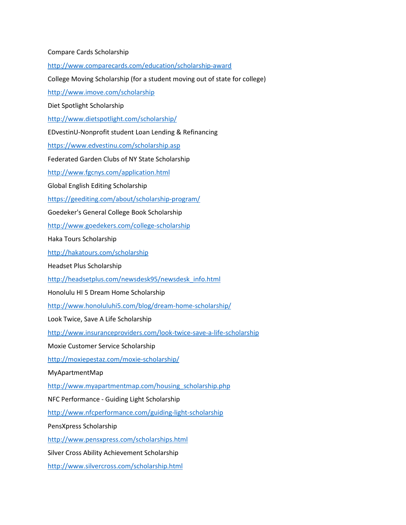#### Compare Cards Scholarship

<http://www.comparecards.com/education/scholarship-award>

College Moving Scholarship (for a student moving out of state for college)

<http://www.imove.com/scholarship>

Diet Spotlight Scholarship

<http://www.dietspotlight.com/scholarship/>

EDvestinU-Nonprofit student Loan Lending & Refinancing

<https://www.edvestinu.com/scholarship.asp>

Federated Garden Clubs of NY State Scholarship

<http://www.fgcnys.com/application.html>

Global English Editing Scholarship

<https://geediting.com/about/scholarship-program/>

Goedeker's General College Book Scholarship

<http://www.goedekers.com/college-scholarship>

Haka Tours Scholarship

<http://hakatours.com/scholarship>

Headset Plus Scholarship

[http://headsetplus.com/newsdesk95/newsdesk\\_info.html](http://headsetplus.com/newsdesk95/newsdesk_info.html)

Honolulu HI 5 Dream Home Scholarship

<http://www.honoluluhi5.com/blog/dream-home-scholarship/>

Look Twice, Save A Life Scholarship

<http://www.insuranceproviders.com/look-twice-save-a-life-scholarship>

Moxie Customer Service Scholarship

<http://moxiepestaz.com/moxie-scholarship/>

MyApartmentMap

[http://www.myapartmentmap.com/housing\\_scholarship.php](http://www.myapartmentmap.com/housing_scholarship.php) 

NFC Performance - Guiding Light Scholarship

<http://www.nfcperformance.com/guiding-light-scholarship>

PensXpress Scholarship

<http://www.pensxpress.com/scholarships.html>

Silver Cross Ability Achievement Scholarship

<http://www.silvercross.com/scholarship.html>